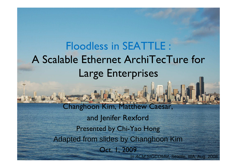Floodless in SEATTLE : A Scalable Ethernet ArchiTecTure for Large EnterprisesChanghoon Kim, Matthew Caesar, and Jenifer RexfordPresented by Chi-Yao HongAdapted from slides by Changhoon KimOct. 1, 2009In ACM SIGCOMM, Seattle, WA, Aug. 2008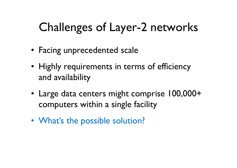# Challenges of Layer-2 networks

- Facing unprecedented scale
- Highly requirements in terms of efficiency<br>and availability and availability
- Large data centers might comprise 100,000+ computers within a single facility
- What's the possible solution?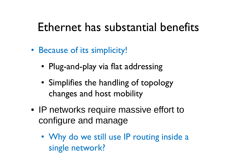### Ethernet has substantial benefits

- Because of its simplicity!
	- Plug-and-play via flat addressing
	- Simplifies the handling of topology changes and host mobility
- IP networks require massive effort to configure and manage
	- Why do we still use IP routing inside a<br>single network? single network?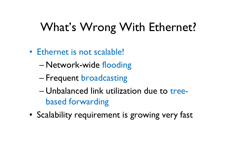# What's Wrong With Ethernet?

- Ethernet is not scalable!
	- –Network-wide flooding
	- –Frequent broadcasting
	- –Unbalanced link utilization due to tree-<br>hased forwarding based forwarding
- Scalability requirement is growing very fast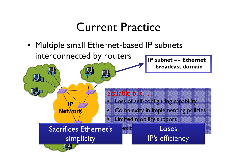### Current Practice

• Multiple small Ethernet-based IP subnets<br>interconnected by routers interconnected by routers**IP subnet == Ethernet** 

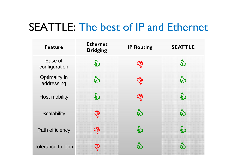#### SEATTLE: The best of IP and Ethernet

| <b>Feature</b>              | <b>Ethernet</b><br><b>Bridging</b> | <b>IP Routing</b> | <b>SEATTLE</b> |
|-----------------------------|------------------------------------|-------------------|----------------|
| Ease of<br>configuration    | \$                                 | <b>SA</b>         | క్త్రే         |
| Optimality in<br>addressing | e)                                 | <b>SP</b>         | <b>S</b>       |
| Host mobility               | \$                                 | <b>SP</b>         | $\mathbf{g}'$  |
| <b>Scalability</b>          | <b>SP</b>                          | e)                | S              |
| Path efficiency             | <b>SP</b>                          | <b>SA</b>         | <b>SA</b>      |
| Tolerance to loop           | <b>B</b>                           | දු)               |                |
|                             |                                    |                   |                |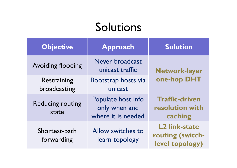### Solutions

| <b>Objective</b>                 | Approach                                                  | <b>Solution</b>                                             |  |
|----------------------------------|-----------------------------------------------------------|-------------------------------------------------------------|--|
| <b>Avoiding flooding</b>         | Never broadcast<br>unicast traffic                        | Network-layer<br>one-hop DHT                                |  |
| Restraining<br>broadcasting      | Bootstrap hosts via<br>unicast                            |                                                             |  |
| <b>Reducing routing</b><br>state | Populate host info<br>only when and<br>where it is needed | <b>Traffic-driven</b><br>resolution with<br>caching         |  |
| Shortest-path<br>forwarding      | Allow switches to<br>learn topology                       | <b>L2 link-state</b><br>routing (switch-<br>level topology) |  |
|                                  |                                                           |                                                             |  |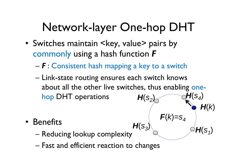# Network-layer One-hop DHT

- Switches maintain  $\leq$ key, value $>$  pairs by<br>commonly using a hash function  $\bm{F}$ commonly using a hash function *F*
	- –*F* : Consistent hash mapping a key to a switch
	- Link-state routing ensures each switch knows<br>about all the other live switches thus enabling about all the other live switches, thus enabling one  $\bm{\mathsf{H}}(\bm{\mathsf{s}}_4)$ hop DHT operations  $\textit{\textbf{H}}(\textit{s}_{2}^{\vphantom{1}}$ )<br>)

**F**(

 $k\rangle$ =

s4 **H**(k)

 $\bm{\mathsf{H}}(\bm{\mathsf{s}}_1)$ 

- Benefits •<br>مریضہ
	- Reducing lookup complexity  ${\boldsymbol \mathsf H}({\boldsymbol{\mathsf S}}_3)$
	- –Fast and efficient reaction to changes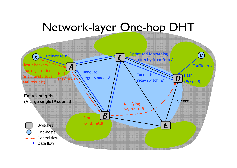### Network-layer One-hop DHT

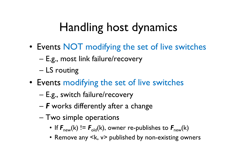# Handling host dynamics

- Events NOT modifying the set of live switches<br>E.g. most link failure/recovery.
	- E.g., most link failure/recovery
	- –LS routing
- Events modifying the set of live switches
	- –E.g., switch failure/recovery
	- –*F* works differently after a change
	- –Two simple operations<br>A If  $\bf{F} = (k) \cdot \bf{F} = (k) \cdot \bf{S}$ 
		- If *F*new(k) != *F*old(k), owner re-publishes to *F*new(k)
		- Remove any <k, v> published by non-existing owners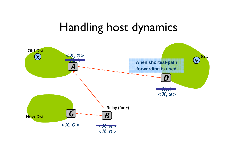#### Handling host dynamics

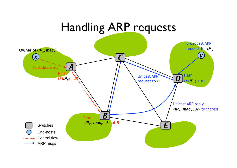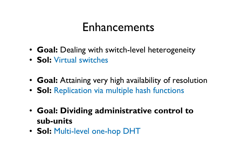### Enhancements

- **Goal:** Dealing with switch-level heterogeneity
- **Sol:** Virtual switches
- **Goal:** Attaining very high availability of resolution
- **Sol:** Replication via multiple hash functions
- **Goal: Dividing administrative control to sub-units**
- **Sol:** Multi-level one-hop DHT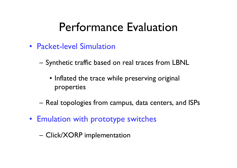### Performance Evaluation

- Packet-level Simulation
	- – Synthetic traffic based on real traces from LBNL
		- Inflated the trace while preserving original<br>Reperties properties
	- –Real topologies from campus, data centers, and ISP s
- Emulation with prototype switches
	- –Click/XORP implementation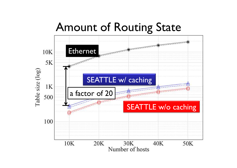#### Amount of Routing State

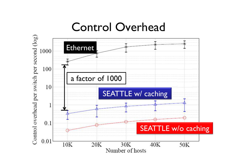#### Control Overhead

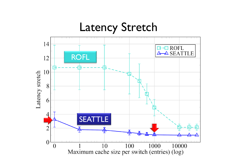